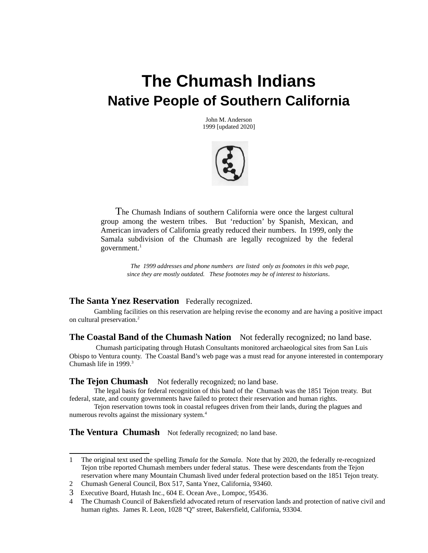# **The Chumash Indians Native People of Southern California**

John M. Anderson 1999 [updated 2020]



 The Chumash Indians of southern California were once the largest cultural group among the western tribes. But 'reduction' by Spanish, Mexican, and American invaders of California greatly reduced their numbers. In 1999, only the Samala subdivision of the Chumash are legally recognized by the federal government. $1$ 

> *The 1999 addresses and phone numbers are listed only as footnotes in this web page, since they are mostly outdated. These footnotes may be of interest to historians.*

# **The Santa Ynez Reservation** Federally recognized.

Gambling facilities on this reservation are helping revise the economy and are having a positive impact on cultural preservation.<sup>[2](#page-0-1)</sup>

**The Coastal Band of the Chumash Nation** Not federally recognized; no land base.

 Chumash participating through Hutash Consultants monitored archaeological sites from San Luis Obispo to Ventura county. The Coastal Band's web page was a must read for anyone interested in contemporary Chumash life in 1999.<sup>[3](#page-0-2)</sup>

**The Tejon Chumash** Not federally recognized; no land base.

The legal basis for federal recognition of this band of the Chumash was the 1851 Tejon treaty. But federal, state, and county governments have failed to protect their reservation and human rights.

Tejon reservation towns took in coastal refugees driven from their lands, during the plagues and numerous revolts against the missionary system.<sup>[4](#page-0-3)</sup>

**The Ventura Chumash** Not federally recognized; no land base.

<span id="page-0-0"></span><sup>1</sup> The original text used the spelling *Tsmala* for the *Samala*. Note that by 2020, the federally re-recognized Tejon tribe reported Chumash members under federal status. These were descendants from the Tejon reservation where many Mountain Chumash lived under federal protection based on the 1851 Tejon treaty.

<span id="page-0-1"></span><sup>2</sup> Chumash General Council, Box 517, Santa Ynez, California, 93460.

<span id="page-0-2"></span><sup>3</sup> Executive Board, Hutash Inc., 604 E. Ocean Ave., Lompoc, 95436.

<span id="page-0-3"></span><sup>4</sup> The Chumash Council of Bakersfield advocated return of reservation lands and protection of native civil and human rights. James R. Leon, 1028 "Q" street, Bakersfield, California, 93304.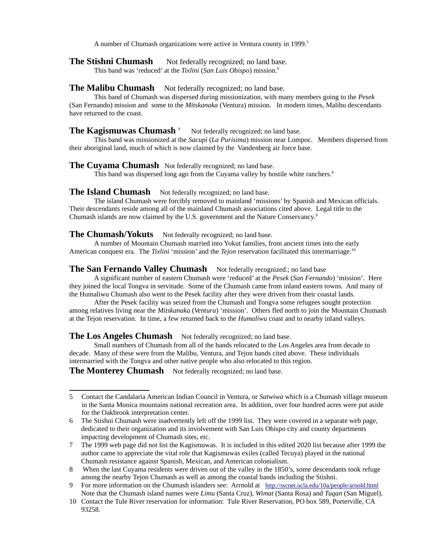A number of Chumash organizations were active in Ventura county in 1999.<sup>[5](#page-1-0)</sup>

**The Stishni Chumash** Not federally recognized; no land base.

This band was 'reduced' at the *Tixlini* (*San Luis Obispo*) mission.[6](#page-1-1)

## **The Malibu Chumash** Not federally recognized; no land base.

This band of Chumash was dispersed during missionization, with many members going to the *Pesek* (San Fernando) mission and some to the *Mitskanaka* (Ventura) mission. In modern times, Malibu descendants have returned to the coast.

#### **The Kagismuwas Chumash [7](#page-1-2)** Not federally recognized; no land base.

This band was missionized at the *Sacupi* (*La Purisima*) mission near Lompoc. Members dispersed from their aboriginal land, much of which is now claimed by the Vandenberg air force base.

#### **The Cuyama Chumash** Not federally recognized; no land base.

This band was dispersed long ago from the Cuyama valley by hostile white ranchers.<sup>[8](#page-1-3)</sup>

#### **The Island Chumash** Not federally recognized; no land base.

The island Chumash were forcibly removed to mainland 'missions' by Spanish and Mexican officials. Their descendants reside among all of the mainland Chumash associations cited above. Legal title to the Chumash islands are now claimed by the U.S. government and the Nature Conservancy.[9](#page-1-4)

### **The Chumash/Yokuts** Not federally recognized; no land base.

A number of Mountain Chumash married into Yokut families, from ancient times into the early American conquest era. The *Tixlini* 'mission' and the *Tejon* reservation facilitated this intermarriage.[10](#page-1-5)

### **The San Fernando Valley Chumash** Not federally recognized.; no land base

A significant number of eastern Chumash were 'reduced' at the *Pesek* (*San Fernando*) 'mission'. Here they joined the local Tongva in servitude. Some of the Chumash came from inland eastern towns. And many of the Humaliwu Chumash also went to the Pesek facility after they were driven from their coastal lands.

After the Pesek facility was seized from the Chumash and Tongva some refugees sought protection among relatives living near the *Mitskanaka* (*Ventura*) 'mission'. Others fled north to join the Mountain Chumash at the Tejon reservation. In time, a few returned back to the *Humaliwu* coast and to nearby inland valleys.

# The Los Angeles Chumash Not federally recognized; no land base.

Small numbers of Chumash from all of the bands relocated to the Los Angeles area from decade to decade. Many of these were from the Malibu, Ventura, and Tejon bands cited above. These individuals intermarried with the Tongva and other native people who also relocated to this region.

**The Monterey Chumash** Not federally recognized; no land base.

<span id="page-1-0"></span><sup>5</sup> Contact the Candalaria American Indian Council in Ventura, or *Satwiwa* which is a Chumash village museum in the Santa Monica mountains national recreation area. In addition, over four hundred acres were put aside for the Oakbrook interpretation center.

<span id="page-1-1"></span><sup>6</sup> The Stishni Chumash were inadvertently left off the 1999 list. They were covered in a separate web page, dedicated to their organization and its involvement with San Luis Obispo city and county departments impacting development of Chumash sites, etc.

<span id="page-1-2"></span><sup>7</sup> The 1999 web page did not list the Kagismuwas. It is included in this edited 2020 list because after 1999 the author came to appreciate the vital role that Kagismuwas exiles (called Tecuya) played in the national Chumash resistance against Spanish, Mexican, and American colonialism.

<span id="page-1-3"></span><sup>8</sup> When the last Cuyama residents were driven out of the valley in the 1850's, some descendants took refuge among the nearby Tejon Chumash as well as among the coastal bands including the Stishni.

<span id="page-1-4"></span><sup>9</sup> For more information on the Chumash islanders see: Arrnold at <http://sscnet.ucla.edu/10a/people/arnold.html> Note that the Chumash island names were *Limu* (Santa Cruz), *Wimat* (Santa Rosa) and *Tuqan* (San Miguel).

<span id="page-1-5"></span><sup>10</sup> Contact the Tule River reservation for information: Tule River Reservation, PO box 589, Porterville, CA 93258.